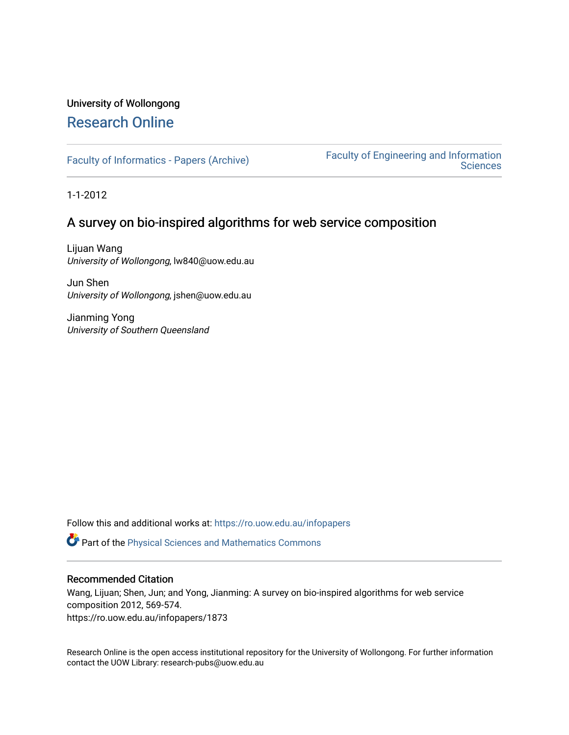# University of Wollongong [Research Online](https://ro.uow.edu.au/)

[Faculty of Informatics - Papers \(Archive\)](https://ro.uow.edu.au/infopapers) [Faculty of Engineering and Information](https://ro.uow.edu.au/eis)  **Sciences** 

1-1-2012

# A survey on bio-inspired algorithms for web service composition

Lijuan Wang University of Wollongong, lw840@uow.edu.au

Jun Shen University of Wollongong, jshen@uow.edu.au

Jianming Yong University of Southern Queensland

Follow this and additional works at: [https://ro.uow.edu.au/infopapers](https://ro.uow.edu.au/infopapers?utm_source=ro.uow.edu.au%2Finfopapers%2F1873&utm_medium=PDF&utm_campaign=PDFCoverPages)

Part of the [Physical Sciences and Mathematics Commons](http://network.bepress.com/hgg/discipline/114?utm_source=ro.uow.edu.au%2Finfopapers%2F1873&utm_medium=PDF&utm_campaign=PDFCoverPages) 

# Recommended Citation

Wang, Lijuan; Shen, Jun; and Yong, Jianming: A survey on bio-inspired algorithms for web service composition 2012, 569-574. https://ro.uow.edu.au/infopapers/1873

Research Online is the open access institutional repository for the University of Wollongong. For further information contact the UOW Library: research-pubs@uow.edu.au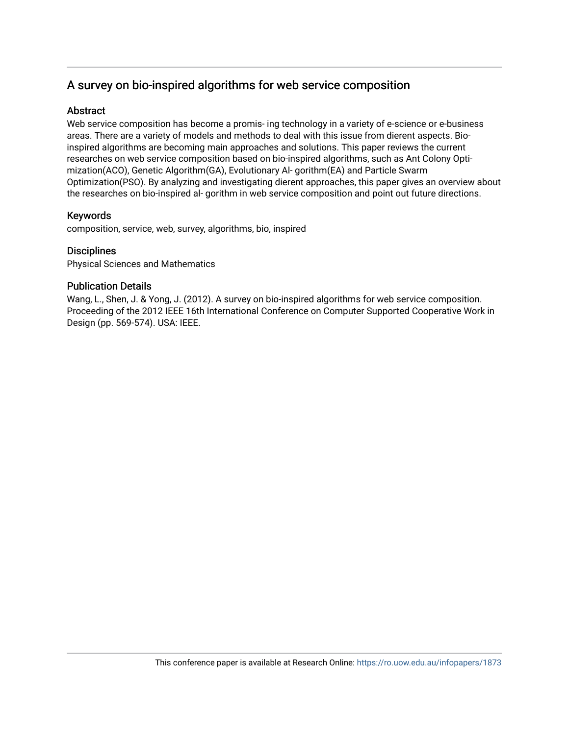# A survey on bio-inspired algorithms for web service composition

# **Abstract**

Web service composition has become a promis- ing technology in a variety of e-science or e-business areas. There are a variety of models and methods to deal with this issue from dierent aspects. Bioinspired algorithms are becoming main approaches and solutions. This paper reviews the current researches on web service composition based on bio-inspired algorithms, such as Ant Colony Optimization(ACO), Genetic Algorithm(GA), Evolutionary Al- gorithm(EA) and Particle Swarm Optimization(PSO). By analyzing and investigating dierent approaches, this paper gives an overview about the researches on bio-inspired al- gorithm in web service composition and point out future directions.

# Keywords

composition, service, web, survey, algorithms, bio, inspired

# **Disciplines**

Physical Sciences and Mathematics

# Publication Details

Wang, L., Shen, J. & Yong, J. (2012). A survey on bio-inspired algorithms for web service composition. Proceeding of the 2012 IEEE 16th International Conference on Computer Supported Cooperative Work in Design (pp. 569-574). USA: IEEE.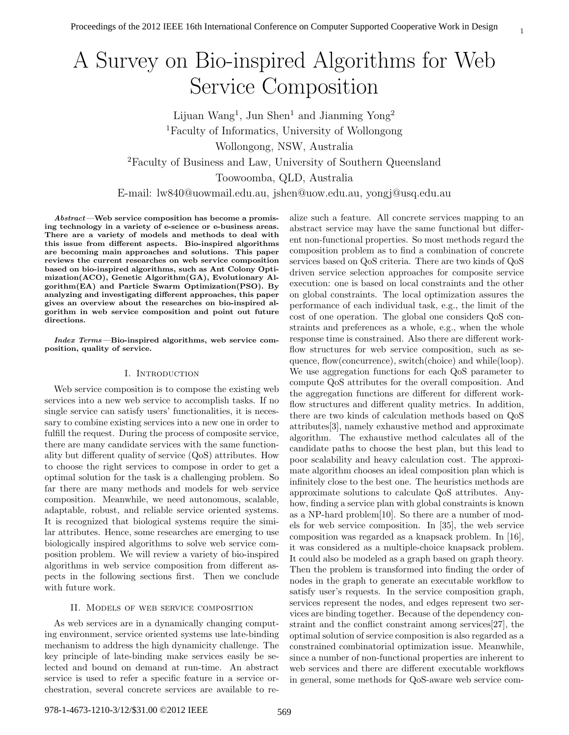# A Survey on Bio-inspired Algorithms for Web Service Composition

Lijuan Wang<sup>1</sup>, Jun Shen<sup>1</sup> and Jianming Yong<sup>2</sup> <sup>1</sup>Faculty of Informatics, University of Wollongong Wollongong, NSW, Australia <sup>2</sup>Faculty of Business and Law, University of Southern Queensland Toowoomba, QLD, Australia E-mail: lw840@uowmail.edu.au, jshen@uow.edu.au, yongj@usq.edu.au

Abstract—Web service composition has become a promising technology in a variety of e-science or e-business areas. There are a variety of models and methods to deal with this issue from different aspects. Bio-inspired algorithms are becoming main approaches and solutions. This paper reviews the current researches on web service composition based on bio-inspired algorithms, such as Ant Colony Optimization(ACO), Genetic Algorithm(GA), Evolutionary Algorithm(EA) and Particle Swarm Optimization(PSO). By analyzing and investigating different approaches, this paper gives an overview about the researches on bio-inspired algorithm in web service composition and point out future directions.

Index Terms—Bio-inspired algorithms, web service composition, quality of service.

#### I. INTRODUCTION

Web service composition is to compose the existing web services into a new web service to accomplish tasks. If no single service can satisfy users' functionalities, it is necessary to combine existing services into a new one in order to fulfill the request. During the process of composite service, there are many candidate services with the same functionality but different quality of service (QoS) attributes. How to choose the right services to compose in order to get a optimal solution for the task is a challenging problem. So far there are many methods and models for web service composition. Meanwhile, we need autonomous, scalable, adaptable, robust, and reliable service oriented systems. It is recognized that biological systems require the similar attributes. Hence, some researches are emerging to use biologically inspired algorithms to solve web service composition problem. We will review a variety of bio-inspired algorithms in web service composition from different aspects in the following sections first. Then we conclude with future work.

#### II. Models of web service composition

As web services are in a dynamically changing computing environment, service oriented systems use late-binding mechanism to address the high dynamicity challenge. The key principle of late-binding make services easily be selected and bound on demand at run-time. An abstract service is used to refer a specific feature in a service orchestration, several concrete services are available to re-

alize such a feature. All concrete services mapping to an abstract service may have the same functional but different non-functional properties. So most methods regard the composition problem as to find a combination of concrete services based on QoS criteria. There are two kinds of QoS driven service selection approaches for composite service execution: one is based on local constraints and the other on global constraints. The local optimization assures the performance of each individual task, e.g., the limit of the cost of one operation. The global one considers QoS constraints and preferences as a whole, e.g., when the whole response time is constrained. Also there are different workflow structures for web service composition, such as sequence, flow(concurrence), switch(choice) and while(loop). We use aggregation functions for each QoS parameter to compute QoS attributes for the overall composition. And the aggregation functions are different for different workflow structures and different quality metrics. In addition, there are two kinds of calculation methods based on QoS attributes[3], namely exhaustive method and approximate algorithm. The exhaustive method calculates all of the candidate paths to choose the best plan, but this lead to poor scalability and heavy calculation cost. The approximate algorithm chooses an ideal composition plan which is infinitely close to the best one. The heuristics methods are approximate solutions to calculate QoS attributes. Anyhow, finding a service plan with global constraints is known as a NP-hard problem[10]. So there are a number of models for web service composition. In [35], the web service composition was regarded as a knapsack problem. In [16], it was considered as a multiple-choice knapsack problem. It could also be modeled as a graph based on graph theory. Then the problem is transformed into finding the order of nodes in the graph to generate an executable workflow to satisfy user's requests. In the service composition graph, services represent the nodes, and edges represent two services are binding together. Because of the dependency constraint and the conflict constraint among services[27], the optimal solution of service composition is also regarded as a constrained combinatorial optimization issue. Meanwhile, since a number of non-functional properties are inherent to web services and there are different executable workflows in general, some methods for QoS-aware web service com-

1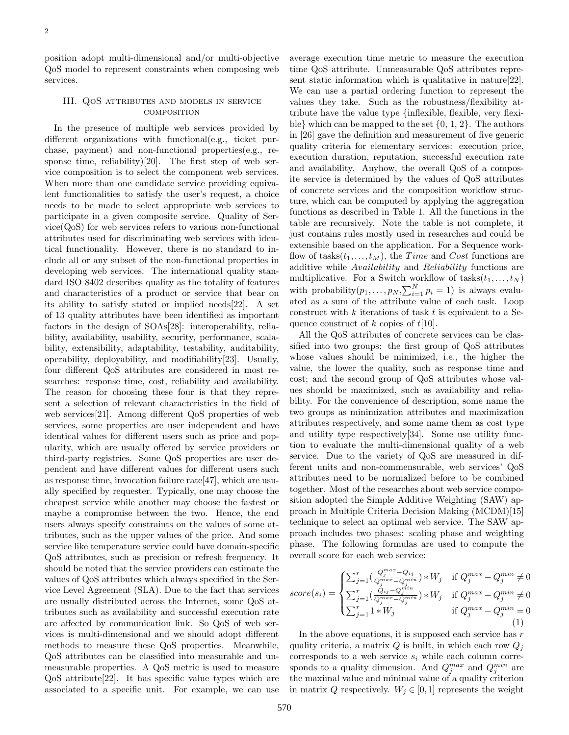position adopt multi-dimensional and/or multi-objective QoS model to represent constraints when composing web services.

#### III. QoS attributes and models in service **COMPOSITION**

In the presence of multiple web services provided by different organizations with functional(e.g., ticket purchase, payment) and non-functional properties(e.g., response time, reliability)[20]. The first step of web service composition is to select the component web services. When more than one candidate service providing equivalent functionalities to satisfy the user's request, a choice needs to be made to select appropriate web services to participate in a given composite service. Quality of Service(QoS) for web services refers to various non-functional attributes used for discriminating web services with identical functionality. However, there is no standard to include all or any subset of the non-functional properties in developing web services. The international quality standard ISO 8402 describes quality as the totality of features and characteristics of a product or service that bear on its ability to satisfy stated or implied needs[22]. A set of 13 quality attributes have been identified as important factors in the design of SOAs[28]: interoperability, reliability, availability, usability, security, performance, scalability, extensibility, adaptability, testability, auditability, operability, deployability, and modifiability[23]. Usually, four different QoS attributes are considered in most researches: response time, cost, reliability and availability. The reason for choosing these four is that they represent a selection of relevant characteristics in the field of web services[21]. Among different QoS properties of web services, some properties are user independent and have identical values for different users such as price and popularity, which are usually offered by service providers or third-party registries. Some QoS properties are user dependent and have different values for different users such as response time, invocation failure rate[47], which are usually specified by requester. Typically, one may choose the cheapest service while another may choose the fastest or maybe a compromise between the two. Hence, the end users always specify constraints on the values of some attributes, such as the upper values of the price. And some service like temperature service could have domain-specific QoS attributes, such as precision or refresh frequency. It should be noted that the service providers can estimate the values of QoS attributes which always specified in the Service Level Agreement (SLA). Due to the fact that services are usually distributed across the Internet, some QoS attributes such as availability and successful execution rate are affected by communication link. So QoS of web services is multi-dimensional and we should adopt different methods to measure these QoS properties. Meanwhile, QoS attributes can be classified into measurable and unmeasurable properties. A QoS metric is used to measure QoS attribute[22]. It has specific value types which are associated to a specific unit. For example, we can use

average execution time metric to measure the execution time QoS attribute. Unmeasurable QoS attributes represent static information which is qualitative in nature[22]. We can use a partial ordering function to represent the values they take. Such as the robustness/flexibility attribute have the value type {inflexible, flexible, very flexible which can be mapped to the set  $\{0, 1, 2\}$ . The authors in [26] gave the definition and measurement of five generic quality criteria for elementary services: execution price, execution duration, reputation, successful execution rate and availability. Anyhow, the overall QoS of a composite service is determined by the values of QoS attributes of concrete services and the composition workflow structure, which can be computed by applying the aggregation functions as described in Table 1. All the functions in the table are recursively. Note the table is not complete, it just contains rules mostly used in researches and could be extensible based on the application. For a Sequence workflow of tasks $(t_1,..., t_M)$ , the Time and Cost functions are additive while Availability and Reliability functions are multiplicative. For a Switch workflow of  $\text{tasks}(t_1,\ldots,t_N)$ with probability $(p_1, \ldots, p_N, \sum_{i=1}^N p_i = 1)$  is always evaluated as a sum of the attribute value of each task. Loop construct with  $k$  iterations of task  $t$  is equivalent to a Sequence construct of k copies of  $t[10]$ .

All the QoS attributes of concrete services can be classified into two groups: the first group of QoS attributes whose values should be minimized, i.e., the higher the value, the lower the quality, such as response time and cost; and the second group of QoS attributes whose values should be maximized, such as availability and reliability. For the convenience of description, some name the two groups as minimization attributes and maximization attributes respectively, and some name them as cost type and utility type respectively[34]. Some use utility function to evaluate the multi-dimensional quality of a web service. Due to the variety of QoS are measured in different units and non-commensurable, web services' QoS attributes need to be normalized before to be combined together. Most of the researches about web service composition adopted the Simple Additive Weighting (SAW) approach in Multiple Criteria Decision Making (MCDM)[15] technique to select an optimal web service. The SAW approach includes two phases: scaling phase and weighting phase. The following formulas are used to compute the overall score for each web service:

$$
score(s_i) = \begin{cases} \sum_{j=1}^{r} (\frac{Q_j^{max} - Q_{ij}}{Q_j^{max} - Q_j^{min}}) * W_j & \text{if } Q_j^{max} - Q_j^{min} \neq 0\\ \sum_{j=1}^{r} (\frac{Q_{ij} - Q_j^{min}}{Q_j^{max} - Q_j^{min}}) * W_j & \text{if } Q_j^{max} - Q_j^{min} \neq 0\\ \sum_{j=1}^{r} 1 * W_j & \text{if } Q_j^{max} - Q_j^{min} = 0 \end{cases}
$$
(1)

In the above equations, it is supposed each service has  $r$ quality criteria, a matrix  $Q$  is built, in which each row  $Q_i$ corresponds to a web service  $s_i$  while each column corresponds to a quality dimension. And  $Q_j^{max}$  and  $Q_j^{min}$  are the maximal value and minimal value of a quality criterion in matrix Q respectively.  $W_i \in [0,1]$  represents the weight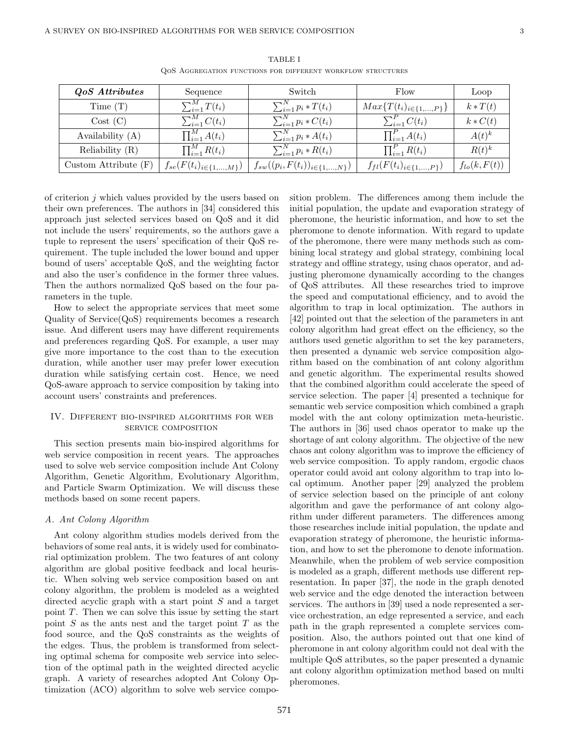| <b>QoS</b> Attributes  | Sequence                          | Switch                                   | Flow                              | Loop              |
|------------------------|-----------------------------------|------------------------------------------|-----------------------------------|-------------------|
| Time(T)                | $\sum_{i=1}^{M} T(t_i)$           | $\sum_{i=1}^{N} p_i * T(t_i)$            | $Max\{T(t_i)_{i \in \{1,,P\}}\}$  | $k * T(t)$        |
| Cost (C)               | $\sum_{i=1}^M C(t_i)$             | $\sum_{i=1}^{N} p_i * C(t_i)$            | $\sum_{i=1}^{P} C(t_i)$           | $k * C(t)$        |
| Availability $(A)$     | $\prod_{i=1}^M A(t_i)$            | $\sum_{i=1}^{N} p_i * A(t_i)$            | $\prod_{i=1}^P A(t_i)$            | $A(t)^k$          |
| Reliability $(R)$      | $\prod_{i=1}^M R(t_i)$            | $\sum_{i=1}^N p_i * R(t_i)$              | $\prod_{i=1}^P R(t_i)$            | $R(t)^k$          |
| Custom Attribute $(F)$ | $f_{se}(F(t_i)_{i \in \{1,,M\}})$ | $f_{sw}((p_i, F(t_i))_{i \in \{1,,N\}})$ | $f_{fl}(F(t_i)_{i \in \{1,,P\}})$ | $f_{lo}(k, F(t))$ |

TABLE I QoS Aggregation functions for different workflow structures

of criterion  $j$  which values provided by the users based on their own preferences. The authors in [34] considered this approach just selected services based on QoS and it did not include the users' requirements, so the authors gave a tuple to represent the users' specification of their QoS requirement. The tuple included the lower bound and upper bound of users' acceptable QoS, and the weighting factor and also the user's confidence in the former three values. Then the authors normalized QoS based on the four parameters in the tuple.

How to select the appropriate services that meet some Quality of Service(QoS) requirements becomes a research issue. And different users may have different requirements and preferences regarding QoS. For example, a user may give more importance to the cost than to the execution duration, while another user may prefer lower execution duration while satisfying certain cost. Hence, we need QoS-aware approach to service composition by taking into account users' constraints and preferences.

#### IV. Different bio-inspired algorithms for web service composition

This section presents main bio-inspired algorithms for web service composition in recent years. The approaches used to solve web service composition include Ant Colony Algorithm, Genetic Algorithm, Evolutionary Algorithm, and Particle Swarm Optimization. We will discuss these methods based on some recent papers.

#### A. Ant Colony Algorithm

Ant colony algorithm studies models derived from the behaviors of some real ants, it is widely used for combinatorial optimization problem. The two features of ant colony algorithm are global positive feedback and local heuristic. When solving web service composition based on ant colony algorithm, the problem is modeled as a weighted directed acyclic graph with a start point S and a target point  $T$ . Then we can solve this issue by setting the start point  $S$  as the ants nest and the target point  $T$  as the food source, and the QoS constraints as the weights of the edges. Thus, the problem is transformed from selecting optimal schema for composite web service into selection of the optimal path in the weighted directed acyclic graph. A variety of researches adopted Ant Colony Optimization (ACO) algorithm to solve web service compoinitial population, the update and evaporation strategy of pheromone, the heuristic information, and how to set the pheromone to denote information. With regard to update of the pheromone, there were many methods such as combining local strategy and global strategy, combining local strategy and offline strategy, using chaos operator, and adjusting pheromone dynamically according to the changes of QoS attributes. All these researches tried to improve the speed and computational efficiency, and to avoid the algorithm to trap in local optimization. The authors in [42] pointed out that the selection of the parameters in ant colony algorithm had great effect on the efficiency, so the authors used genetic algorithm to set the key parameters, then presented a dynamic web service composition algorithm based on the combination of ant colony algorithm and genetic algorithm. The experimental results showed that the combined algorithm could accelerate the speed of service selection. The paper [4] presented a technique for semantic web service composition which combined a graph model with the ant colony optimization meta-heuristic. The authors in [36] used chaos operator to make up the shortage of ant colony algorithm. The objective of the new chaos ant colony algorithm was to improve the efficiency of web service composition. To apply random, ergodic chaos operator could avoid ant colony algorithm to trap into local optimum. Another paper [29] analyzed the problem of service selection based on the principle of ant colony algorithm and gave the performance of ant colony algorithm under different parameters. The differences among those researches include initial population, the update and evaporation strategy of pheromone, the heuristic information, and how to set the pheromone to denote information. Meanwhile, when the problem of web service composition is modeled as a graph, different methods use different representation. In paper [37], the node in the graph denoted web service and the edge denoted the interaction between services. The authors in [39] used a node represented a service orchestration, an edge represented a service, and each path in the graph represented a complete services composition. Also, the authors pointed out that one kind of pheromone in ant colony algorithm could not deal with the multiple QoS attributes, so the paper presented a dynamic ant colony algorithm optimization method based on multi pheromones.

sition problem. The differences among them include the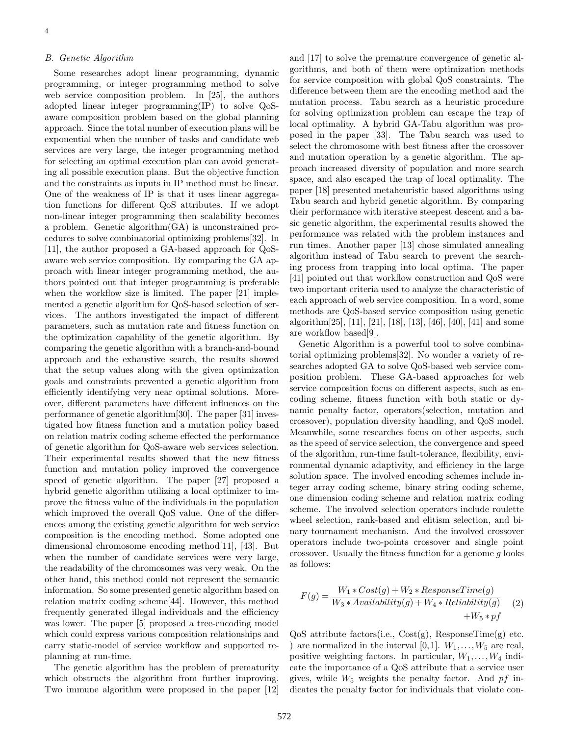#### B. Genetic Algorithm

Some researches adopt linear programming, dynamic programming, or integer programming method to solve web service composition problem. In [25], the authors adopted linear integer programming(IP) to solve QoSaware composition problem based on the global planning approach. Since the total number of execution plans will be exponential when the number of tasks and candidate web services are very large, the integer programming method for selecting an optimal execution plan can avoid generating all possible execution plans. But the objective function and the constraints as inputs in IP method must be linear. One of the weakness of IP is that it uses linear aggregation functions for different QoS attributes. If we adopt non-linear integer programming then scalability becomes a problem. Genetic algorithm(GA) is unconstrained procedures to solve combinatorial optimizing problems[32]. In [11], the author proposed a GA-based approach for QoSaware web service composition. By comparing the GA approach with linear integer programming method, the authors pointed out that integer programming is preferable when the workflow size is limited. The paper [21] implemented a genetic algorithm for QoS-based selection of services. The authors investigated the impact of different parameters, such as mutation rate and fitness function on the optimization capability of the genetic algorithm. By comparing the genetic algorithm with a branch-and-bound approach and the exhaustive search, the results showed that the setup values along with the given optimization goals and constraints prevented a genetic algorithm from efficiently identifying very near optimal solutions. Moreover, different parameters have different influences on the performance of genetic algorithm[30]. The paper [31] investigated how fitness function and a mutation policy based on relation matrix coding scheme effected the performance of genetic algorithm for QoS-aware web services selection. Their experimental results showed that the new fitness function and mutation policy improved the convergence speed of genetic algorithm. The paper [27] proposed a hybrid genetic algorithm utilizing a local optimizer to improve the fitness value of the individuals in the population which improved the overall QoS value. One of the differences among the existing genetic algorithm for web service composition is the encoding method. Some adopted one dimensional chromosome encoding method[11], [43]. But when the number of candidate services were very large, the readability of the chromosomes was very weak. On the other hand, this method could not represent the semantic information. So some presented genetic algorithm based on relation matrix coding scheme[44]. However, this method frequently generated illegal individuals and the efficiency was lower. The paper [5] proposed a tree-encoding model which could express various composition relationships and carry static-model of service workflow and supported replanning at run-time.

The genetic algorithm has the problem of prematurity which obstructs the algorithm from further improving. Two immune algorithm were proposed in the paper [12]

and [17] to solve the premature convergence of genetic algorithms, and both of them were optimization methods for service composition with global QoS constraints. The difference between them are the encoding method and the mutation process. Tabu search as a heuristic procedure for solving optimization problem can escape the trap of local optimality. A hybrid GA-Tabu algorithm was proposed in the paper [33]. The Tabu search was used to select the chromosome with best fitness after the crossover and mutation operation by a genetic algorithm. The approach increased diversity of population and more search space, and also escaped the trap of local optimality. The paper [18] presented metaheuristic based algorithms using Tabu search and hybrid genetic algorithm. By comparing their performance with iterative steepest descent and a basic genetic algorithm, the experimental results showed the performance was related with the problem instances and run times. Another paper [13] chose simulated annealing algorithm instead of Tabu search to prevent the searching process from trapping into local optima. The paper [41] pointed out that workflow construction and QoS were two important criteria used to analyze the characteristic of each approach of web service composition. In a word, some methods are QoS-based service composition using genetic algorithm[25], [11], [21], [18], [13], [46], [40], [41] and some are workflow based[9].

Genetic Algorithm is a powerful tool to solve combinatorial optimizing problems[32]. No wonder a variety of researches adopted GA to solve QoS-based web service composition problem. These GA-based approaches for web service composition focus on different aspects, such as encoding scheme, fitness function with both static or dynamic penalty factor, operators(selection, mutation and crossover), population diversity handling, and QoS model. Meanwhile, some researches focus on other aspects, such as the speed of service selection, the convergence and speed of the algorithm, run-time fault-tolerance, flexibility, environmental dynamic adaptivity, and efficiency in the large solution space. The involved encoding schemes include integer array coding scheme, binary string coding scheme, one dimension coding scheme and relation matrix coding scheme. The involved selection operators include roulette wheel selection, rank-based and elitism selection, and binary tournament mechanism. And the involved crossover operators include two-points crossover and single point crossover. Usually the fitness function for a genome g looks as follows:

$$
F(g) = \frac{W_1 * Cost(g) + W_2 * ResponseTime(g)}{W_3 * Availableity(g) + W_4 * Reliability(g)}
$$
 (2)  
+W<sub>5</sub> \* pf

QoS attribute factors(i.e., Cost(g), ResponseTime(g) etc. ) are normalized in the interval [0,1].  $W_1, \ldots, W_5$  are real, positive weighting factors. In particular,  $W_1, \ldots, W_4$  indicate the importance of a QoS attribute that a service user gives, while  $W_5$  weights the penalty factor. And pf indicates the penalty factor for individuals that violate con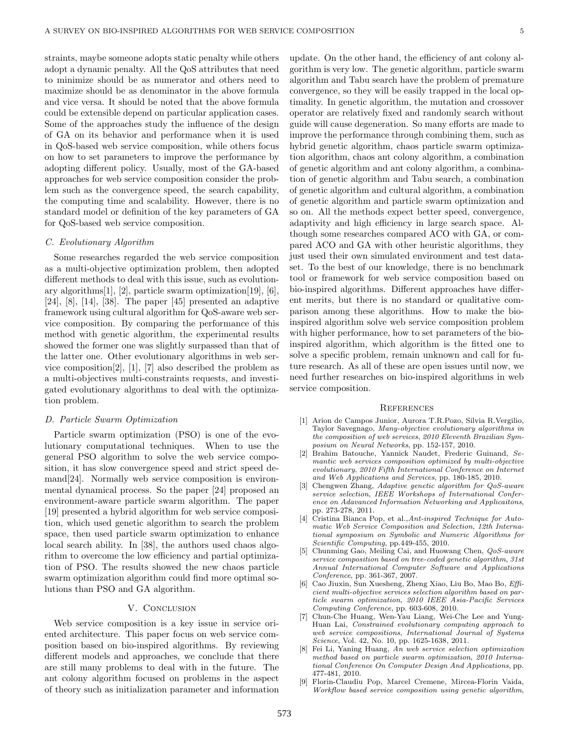straints, maybe someone adopts static penalty while others adopt a dynamic penalty. All the QoS attributes that need to minimize should be as numerator and others need to maximize should be as denominator in the above formula and vice versa. It should be noted that the above formula could be extensible depend on particular application cases. Some of the approaches study the influence of the design of GA on its behavior and performance when it is used in QoS-based web service composition, while others focus on how to set parameters to improve the performance by adopting different policy. Usually, most of the GA-based approaches for web service composition consider the problem such as the convergence speed, the search capability, the computing time and scalability. However, there is no standard model or definition of the key parameters of GA for QoS-based web service composition.

#### C. Evolutionary Algorithm

Some researches regarded the web service composition as a multi-objective optimization problem, then adopted different methods to deal with this issue, such as evolutionary algorithms[1], [2], particle swarm optimization[19], [6],  $[24]$ ,  $[8]$ ,  $[14]$ ,  $[38]$ . The paper  $[45]$  presented an adaptive framework using cultural algorithm for QoS-aware web service composition. By comparing the performance of this method with genetic algorithm, the experimental results showed the former one was slightly surpassed than that of the latter one. Other evolutionary algorithms in web service composition[2], [1], [7] also described the problem as a multi-objectives multi-constraints requests, and investigated evolutionary algorithms to deal with the optimization problem.

#### D. Particle Swarm Optimization

Particle swarm optimization (PSO) is one of the evolutionary computational techniques. When to use the general PSO algorithm to solve the web service composition, it has slow convergence speed and strict speed demand[24]. Normally web service composition is environmental dynamical process. So the paper [24] proposed an environment-aware particle swarm algorithm. The paper [19] presented a hybrid algorithm for web service composition, which used genetic algorithm to search the problem space, then used particle swarm optimization to enhance local search ability. In [38], the authors used chaos algorithm to overcome the low efficiency and partial optimization of PSO. The results showed the new chaos particle swarm optimization algorithm could find more optimal solutions than PSO and GA algorithm.

### V. CONCLUSION

Web service composition is a key issue in service oriented architecture. This paper focus on web service composition based on bio-inspired algorithms. By reviewing different models and approaches, we conclude that there are still many problems to deal with in the future. The ant colony algorithm focused on problems in the aspect of theory such as initialization parameter and information

update. On the other hand, the efficiency of ant colony algorithm is very low. The genetic algorithm, particle swarm algorithm and Tabu search have the problem of premature convergence, so they will be easily trapped in the local optimality. In genetic algorithm, the mutation and crossover operator are relatively fixed and randomly search without guide will cause degeneration. So many efforts are made to improve the performance through combining them, such as hybrid genetic algorithm, chaos particle swarm optimization algorithm, chaos ant colony algorithm, a combination of genetic algorithm and ant colony algorithm, a combination of genetic algorithm and Tabu search, a combination of genetic algorithm and cultural algorithm, a combination of genetic algorithm and particle swarm optimization and so on. All the methods expect better speed, convergence, adaptivity and high efficiency in large search space. Although some researches compared ACO with GA, or compared ACO and GA with other heuristic algorithms, they just used their own simulated environment and test dataset. To the best of our knowledge, there is no benchmark tool or framework for web service composition based on bio-inspired algorithms. Different approaches have different merits, but there is no standard or qualitative comparison among these algorithms. How to make the bioinspired algorithm solve web service composition problem with higher performance, how to set parameters of the bioinspired algorithm, which algorithm is the fitted one to solve a specific problem, remain unknown and call for future research. As all of these are open issues until now, we need further researches on bio-inspired algorithms in web service composition.

#### **REFERENCES**

- [1] Arion de Campos Junior, Aurora T.R.Pozo, Silvia R.Vergilio, Taylor Savegnago, Many-objective evolutionary algorithms in the composition of web services, 2010 Eleventh Brazilian Symposium on Neural Networks, pp. 152-157, 2010.
- [2] Brahim Batouche, Yannick Naudet, Frederic Guinand, Semantic web services composition optimized by multi-objective evolutionary, 2010 Fifth International Conference on Internet and Web Applications and Services, pp. 180-185, 2010.
- [3] Chengwen Zhang, Adaptive genetic algorithm for QoS-aware service selection, IEEE Workshops of International Conference on Adavanced Information Networking and Applicaitons, pp. 273-278, 2011.
- [4] Cristina Bianca Pop, et al.,Ant-inspired Technique for Automatic Web Service Composition and Selection, 12th International symposium on Symbolic and Numeric Algorithms for Scientific Computing, pp.449-455, 2010.
- [5] Chunming Gao, Meiling Cai, and Huowang Chen, QoS-aware service composition based on tree-coded genetic algorithm, 31st Annual International Computer Software and Applications Conference, pp. 361-367, 2007.
- [6] Cao Jiuxin, Sun Xuesheng, Zheng Xiao, Liu Bo, Mao Bo, Efficient multi-objective services selection algorithm based on particle swarm optimization, 2010 IEEE Asia-Pacific Services Computing Conference, pp. 603-608, 2010.
- Chun-Che Huang, Wen-Yau Liang, Wei-Che Lee and Yung-Huan Lai, Constrained evolutionary computing approach to web service compositions, International Journal of Systems Science, Vol. 42, No. 10, pp. 1625-1638, 2011.
- [8] Fei Li, Yaning Huang, An web service selection optimization method based on particle swarm optimization, 2010 International Conference On Computer Design And Applications, pp. 477-481, 2010.
- [9] Florin-Claudiu Pop, Marcel Cremene, Mircea-Florin Vaida, Workflow based service composition using genetic algorithm,